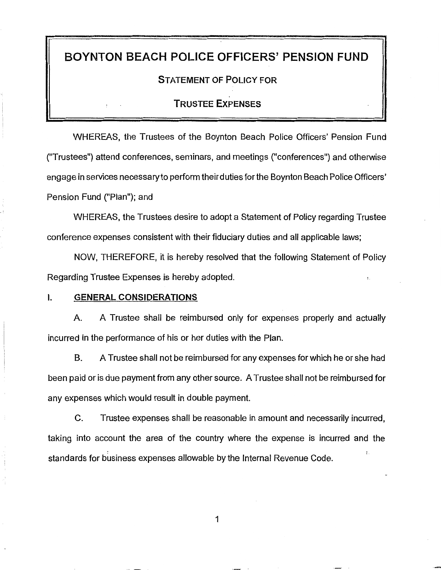# BOYNTON BEACH POLICE OFFICERS' PENSION FUND

# STATEMENT OF POLICY FOR

## TRUSTEE EXPENSES

WHEREAS, the Trustees of the Boynton Beach Police Officers' Pension Fund ("Trustees") attend conferences, seminars, and meetings ("conferences") and otherwise engage in services necessary to perform their duties for the Boynton Beach Police Officers' Pension Fund ("Plan"); and

WHEREAS, the Trustees desire to adopt a Statement of Policy regarding Trustee conference expenses consistent with their fiduciary duties and all applicable laws;

NOW, THEREFORE, it is hereby resolved that the following Statement of Policy Regarding Trustee Expenses is hereby adopted.

#### I. GENERAL CONSIDERATIONS

A. A Trustee shall be reimbursed only for expenses properly and actually incurred in the performance of his or her duties with the Plan.

B. A Trustee shall not be reimbursed for any expenses for which he or she had been paid or is due payment from any other source. A Trustee shall not be reimbursed for any expenses which would result in double payment.

C. Trustee expenses shall be reasonable in amount and necessarily incurred, taking into account the area of the country where the expense is incurred and the standards for business expenses allowable by the Internal Revenue Code.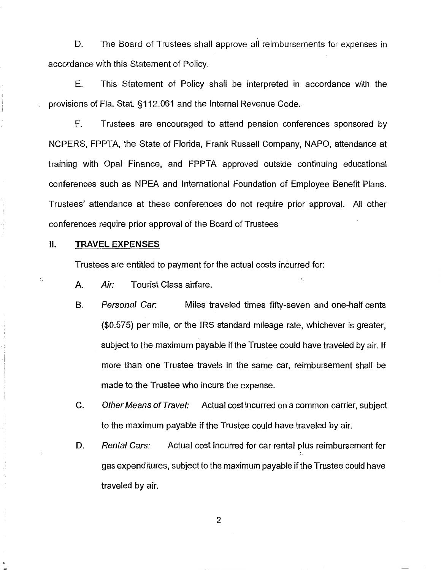D. The Board of Trustees shall approve all reimbursements for expenses in accordance with this Statement of Policy.

E. This Statement of Policy shall be interpreted in accordance with the provisions of Fla. Stat. §112.061 and the Internal Revenue Code ..

F. Trustees are encouraged to attend pension conferences sponsored by NCPERS, FPPTA, the State of Florida, Frank Russell Company, NAPO, attendance at training with Opal Finance, and FPPTA approved outside continuing educational conferences such as NPEA and International Foundation of Employee Benefit Plans. Trustees' attendance at these conferences do not require prior approval. All other conferences require prior approval of the Board of Trustees

#### II. **TRAVEL EXPENSES**

 $\ddot{\cdot}$ 

Trustees are entitled to payment for the actual costs incurred for:

. . . . A. Air: Tourist Class airfare.

- B. Personal Car. Miles traveled times fifty-seven and one-half cents (\$0.575) per mile, or the IRS standard mileage rate, whichever is greater, subject to the maximum payable if the Trustee could have traveled by air. If more than one Trustee travels in the same car, reimbursement shall be made to the Trustee who incurs the expense.
- C. Other Means of Travel: Actual cost incurred on a common carrier, subject to the maximum payable if the Trustee could have traveled by air.
- D. Rental Cars: Actual cost incurred for car rental plus reimbursement for gas expenditures, subject to the maximum payable if the Trustee could have traveled by air.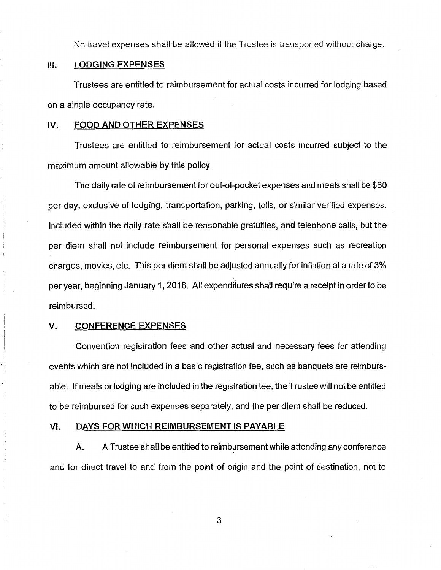No travel expenses shall be allowed if the Trustee is transported without charge.

### Ill. LODGING EXPENSES

Trustees are entitled to reimbursement for actual costs incurred for lodging based on a single occupancy rate.

#### IV. FOOD AND OTHER EXPENSES

Trustees are entitled to reimbursement for actual costs incurred subject to the maximum amount allowable by this policy.

The daily rate of reimbursement for out-of-pocket expenses and meals shall be \$60 per day, exclusive of lodging, transportation, parking, tolls, or similar verified expenses. Included within the daily rate shall be reasonable gratuities, and telephone calls, but the per diem shall not include reimbursement for personal expenses such as recreation charges, movies, etc. This per diem shall be adjusted annually for inflation at a rate of 3% per year, beginning January 1, 2016. All expenditures shall require a receipt in order to be reimbursed.

#### V. CONFERENCE EXPENSES

Convention registration fees and other actual and necessary fees for attending events which are not included in a basic registration fee, such as banquets are reimbursable. If meals or lodging are included in the registration fee, the Trustee will not be entitled to be reimbursed for such expenses separately, and the per diem shall be reduced.

#### VI. DAYS FOR WHICH REIMBURSEMENT IS PAYABLE

A. A Trustee shall be entitled to reimbursement while attending any conference and for direct travel to and from the point of origin and the point of destination, not to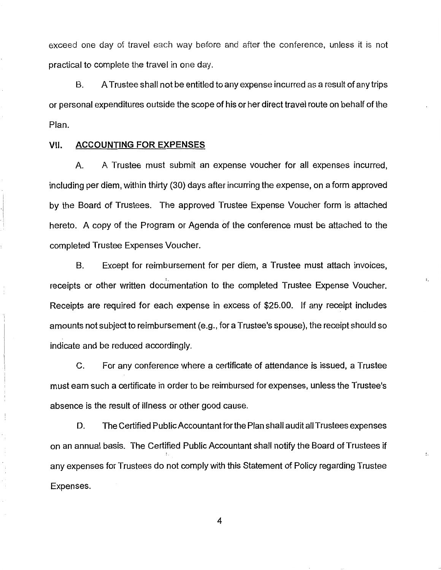exceed one day of travel each way before and after the conference, unless it is not practical to complete the travel in one day.

B. A Trustee shall not be entitled to any expense incurred as a result of any trips or personal expenditures outside the scope of his or her direct travel route on behalf of the Plan.

#### VII. **ACCOUNTING FOR EXPENSES**

A. A Trustee must submit an expense voucher for all expenses incurred, including per diem, within thirty (30) days after incurring the expense, on a form approved by the Board of Trustees. The approved Trustee Expense Voucher form is attached hereto. A copy of the Program or Agenda of the conference must be attached to the completed Trustee Expenses Voucher.

B. Except for reimbursement for per diem, a Trustee must attach invoices, receipts or other written documentation to the completed Trustee Expense Voucher. Receipts are required for each expense in excess of \$25.00. If any receipt includes amounts not subject to reimbursement (e.g., for a Trustee's spouse), the receipt should so indicate and be reduced accordingly.

 $\ddot{\phantom{a}}$ 

 $\ddot{\cdot}$ 

C. For any conference where a certificate of attendance is issued, a Trustee must earn such a certificate in order to be reimbursed for expenses, unless the Trustee's absence is the result of illness or other good cause.

D. The Certified PublicAccountantforthe Plan shall audit all Trustees expenses on an annual basis. The Certified Public Accountant shall notify the Board of Trustees if any expenses for Trustees do not comply with this Statement of Policy regarding Trustee Expenses.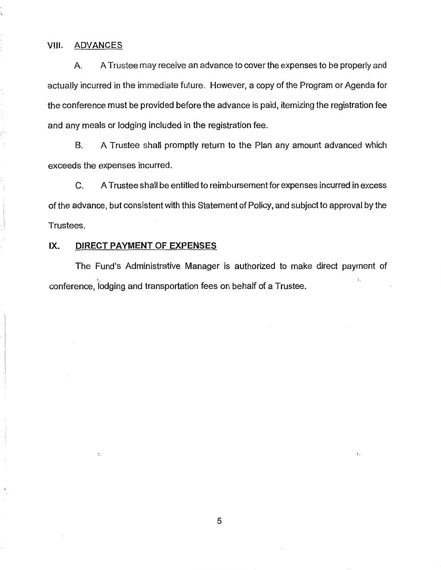## VIII. ADVANCES

A. A Trustee may receive an advance to cover the expenses to be properly and actually incurred in the immediate future. However, a copy of the Program or Agenda for the conference must be provided before the advance is paid, itemizing the registration fee and any meals or lodging included in the registration fee.

B. A Trustee shall promptly return to the Plan any amount advanced which exceeds the expenses incurred.

C. A Trustee shall be entitled to reimbursement for expenses incurred in excess of the advance, but consistent with this Statement of Policy, and subject to approval by the Trustees.

## IX. **DIRECT PAYMENT OF EXPENSES**

 $\ddot{\cdot}$ 

The Fund's Administrative Manager is authorized to make direct payment of conference, lodging and transportation fees on behalf of a Trustee.

 $\ddot{\cdot}$